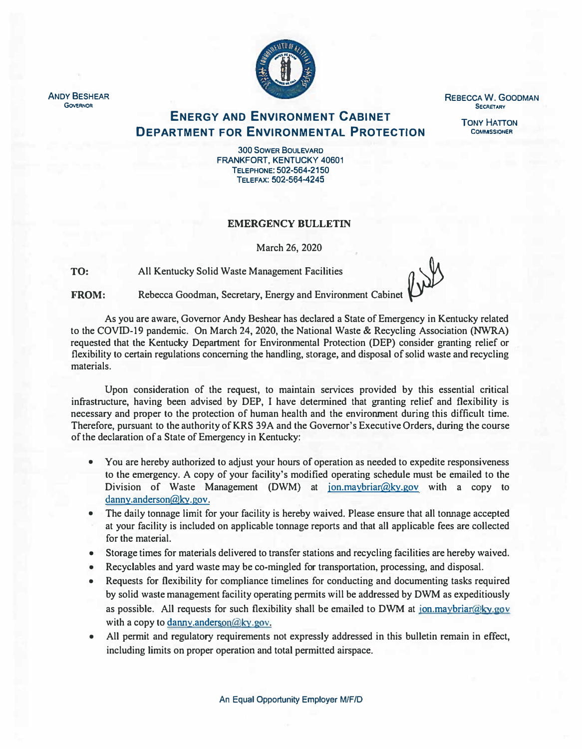

**REBECCA W. GOODMAN SECRETARY** 

> **TONY HATTON COMMSSIONER**

**ENERGY AND ENVIRONMENT CABINET DEPARTMENT FOR ENVIRONMENTAL PROTECTION** 

> **300 SOWER BOULEVARD FRANKFORT, KENTUCKY 40601 TELEPHONE: 502-564-2150 TELEFAX:502-564-4245**

## **EMERGENCY BULLETIN**

**March 26, 2020** 

**TO:**  All Kentucky Solid Waste Management Facilities

**FROM: Rebecca Goodman, Secretary, Energy and Environment Cabinet** 

**As you are aware, Governor Andy Beshear has declared a State of Emergency in Kentucky related to the COVID-19 pandemic. On March 24, 2020, the National Waste & Recycling Association (NWRA) requested that the Kentucky Department for Environmental Protection (DEP) consider granting relief or flexibility to certain regulations concerning the handling, storage, and disposal of solid waste and recycling materials.** 

**Upon consideration of the request, to maintain services provided by this essential critical infrastructure, having been advised by DEP, I have determined that granting relief and flexibility is necessary and proper to the protection of human health and the environment during this difficult time. Therefore, pursuant to the authority of KRS 39A and the Governor's Executive Orders, during the course of the declaration of a State of Emergency in Kentucky:** 

- **• You are hereby authorized to adjust your hours of operation as needed to expedite responsiveness to the emergency. A copy of your facility's modified operating schedule must be emailed to the Division of Waste Management (DWM) at jon.maybriar@ky.gov with a copy to danny.anderson@ky.gov.**
- **• The daily tonnage limit for your facility is hereby waived. Please ensure that all tonnage accepted at your facility is included on applicable tonnage reports and that all applicable fees are collected for the material.**
- **• Storage times for materials delivered to transfer stations and recycling facilities are hereby waived.**
- **• Recyclables and yard waste may be co-mingled for transportation, processing, and disposal.**
- **• Requests for flexibility for compliance timelines for conducting and documenting tasks required by solid waste management facility operating permits will be addressed by DWM as expeditiously as possible. All requests for such flexibility shall be emailed to DWM at jon.maybriar@ky.gov with a copy to danny.anderson@ky.gov.**
- **• All permit and regulatory requirements not expressly addressed in this bulletin remain in effect, including limits on proper operation and total permitted airspace.**

**ANDY BESHEAR GOVERNOR**